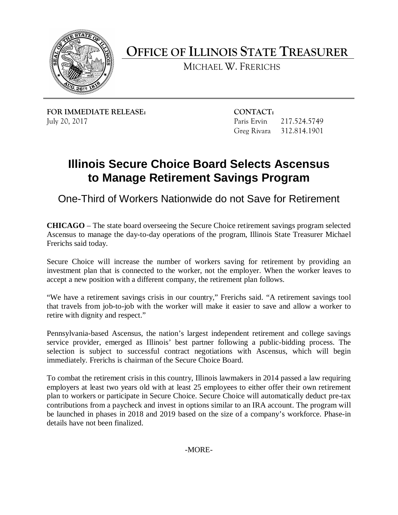

**OFFICE OF ILLINOIS STATE TREASURER** 

MICHAEL W. FRERICHS

**FOR IMMEDIATE RELEASE: CONTACT:** July 20, 2017

Paris Ervin 217.524.5749 Greg Rivara 312.814.1901

## **Illinois Secure Choice Board Selects Ascensus to Manage Retirement Savings Program**

One-Third of Workers Nationwide do not Save for Retirement

 **CHICAGO** – The state board overseeing the Secure Choice retirement savings program selected Ascensus to manage the day-to-day operations of the program, Illinois State Treasurer Michael Frerichs said today.

 investment plan that is connected to the worker, not the employer. When the worker leaves to Secure Choice will increase the number of workers saving for retirement by providing an accept a new position with a different company, the retirement plan follows.

 "We have a retirement savings crisis in our country," Frerichs said. "A retirement savings tool that travels from job-to-job with the worker will make it easier to save and allow a worker to retire with dignity and respect."

immediately. Frerichs is chairman of the Secure Choice Board. Pennsylvania-based Ascensus, the nation's largest independent retirement and college savings service provider, emerged as Illinois' best partner following a public-bidding process. The selection is subject to successful contract negotiations with Ascensus, which will begin

immediately. Frerichs is chairman of the Secure Choice Board.<br>To combat the retirement crisis in this country, Illinois lawmakers in 2014 passed a law requiring contributions from a paycheck and invest in options similar to an IRA account. The program will employers at least two years old with at least 25 employees to either offer their own retirement plan to workers or participate in Secure Choice. Secure Choice will automatically deduct pre-tax be launched in phases in 2018 and 2019 based on the size of a company's workforce. Phase-in details have not been finalized.

-MORE